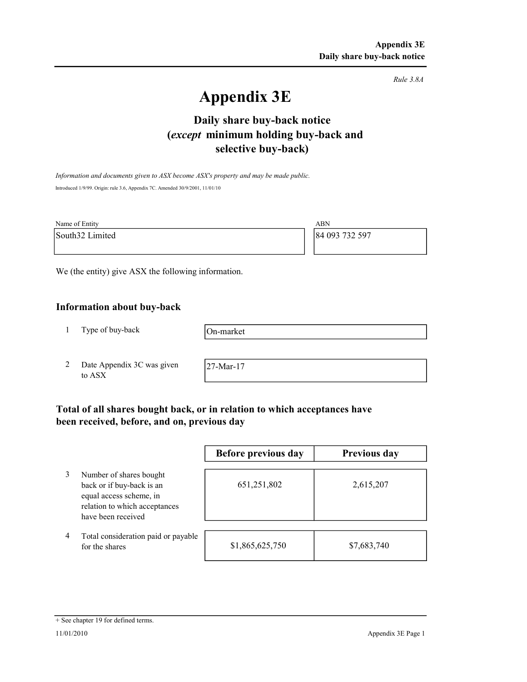Rule 3.8A

# Appendix 3E

# selective buy-back) Daily share buy-back notice (except minimum holding buy-back and

Information and documents given to ASX become ASX's property and may be made public. Introduced 1/9/99. Origin: rule 3.6, Appendix 7C. Amended 30/9/2001, 11/01/10

| Name of Entity  | ABN            |
|-----------------|----------------|
| South32 Limited | 84 093 732 597 |
|                 |                |

We (the entity) give ASX the following information.

# Information about buy-back

1 Type of buy-back

On-market

2 Date Appendix 3C was given to ASX

27-Mar-17

# Total of all shares bought back, or in relation to which acceptances have been received, before, and on, previous day

|   |                                                                                                                                        | Before previous day | Previous day |
|---|----------------------------------------------------------------------------------------------------------------------------------------|---------------------|--------------|
|   | Number of shares bought<br>back or if buy-back is an<br>equal access scheme, in<br>relation to which acceptances<br>have been received | 651,251,802         | 2,615,207    |
| 4 | Total consideration paid or payable<br>for the shares                                                                                  | \$1,865,625,750     | \$7,683,740  |

#### + See chapter 19 for defined terms.